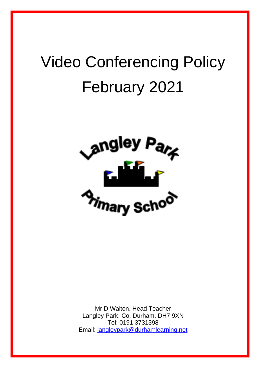# Video Conferencing Policy February 2021



Mr D Walton, Head Teacher Langley Park, Co. Durham, DH7 9XN Tel: 0191 3731398 Email: [langleypark@durhamlearning.net](mailto:langleypark@durhamlearning.net)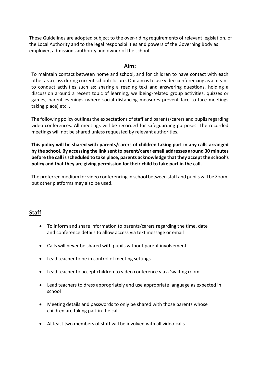These Guidelines are adopted subject to the over-riding requirements of relevant legislation, of the Local Authority and to the legal responsibilities and powers of the Governing Body as employer, admissions authority and owner of the school

#### **Aim:**

To maintain contact between home and school, and for children to have contact with each other as a class during current school closure. Our aim is to use video conferencing as a means to conduct activities such as: sharing a reading text and answering questions, holding a discussion around a recent topic of learning, wellbeing-related group activities, quizzes or games, parent evenings (where social distancing measures prevent face to face meetings taking place) etc. .

The following policy outlines the expectations of staff and parents/carers and pupils regarding video conferences. All meetings will be recorded for safeguarding purposes. The recorded meetings will not be shared unless requested by relevant authorities.

**This policy will be shared with parents/carers of children taking part in any calls arranged by the school. By accessing the link sent to parent/carer email addresses around 30 minutes before the call is scheduled to take place, parents acknowledge that they accept the school's policy and that they are giving permission for their child to take part in the call.**

The preferred medium for video conferencing in school between staff and pupils will be Zoom, but other platforms may also be used.

## **Staff**

- To inform and share information to parents/carers regarding the time, date and conference details to allow access via text message or email
- Calls will never be shared with pupils without parent involvement
- Lead teacher to be in control of meeting settings
- Lead teacher to accept children to video conference via a 'waiting room'
- Lead teachers to dress appropriately and use appropriate language as expected in school
- Meeting details and passwords to only be shared with those parents whose children are taking part in the call
- At least two members of staff will be involved with all video calls